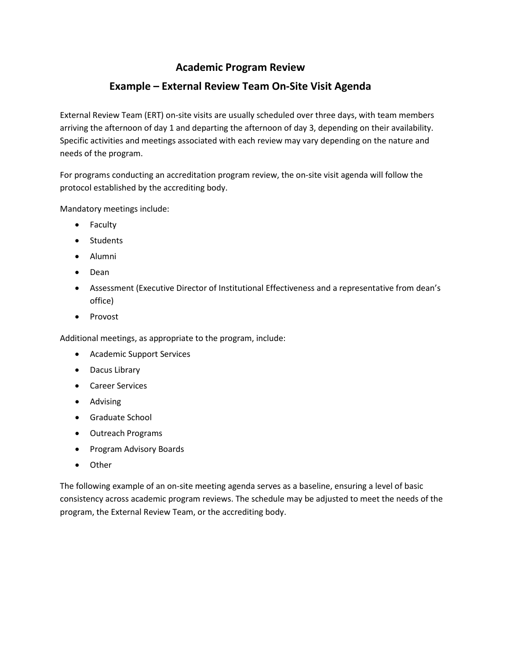# **Academic Program Review**

# **Example – External Review Team On-Site Visit Agenda**

External Review Team (ERT) on-site visits are usually scheduled over three days, with team members arriving the afternoon of day 1 and departing the afternoon of day 3, depending on their availability. Specific activities and meetings associated with each review may vary depending on the nature and needs of the program.

For programs conducting an accreditation program review, the on-site visit agenda will follow the protocol established by the accrediting body.

Mandatory meetings include:

- Faculty
- Students
- Alumni
- Dean
- Assessment (Executive Director of Institutional Effectiveness and a representative from dean's office)
- Provost

Additional meetings, as appropriate to the program, include:

- Academic Support Services
- Dacus Library
- Career Services
- Advising
- Graduate School
- Outreach Programs
- Program Advisory Boards
- Other

The following example of an on-site meeting agenda serves as a baseline, ensuring a level of basic consistency across academic program reviews. The schedule may be adjusted to meet the needs of the program, the External Review Team, or the accrediting body.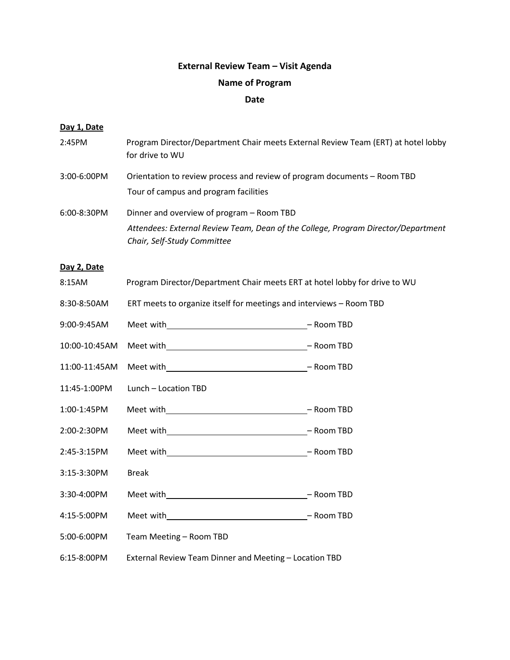# **External Review Team – Visit Agenda**

## **Name of Program**

## **Date**

### **Day 1, Date**

| 2:45PM        | Program Director/Department Chair meets External Review Team (ERT) at hotel lobby<br>for drive to WU             |  |
|---------------|------------------------------------------------------------------------------------------------------------------|--|
| 3:00-6:00PM   | Orientation to review process and review of program documents - Room TBD                                         |  |
|               | Tour of campus and program facilities                                                                            |  |
| $6:00-8:30PM$ | Dinner and overview of program - Room TBD                                                                        |  |
|               | Attendees: External Review Team, Dean of the College, Program Director/Department<br>Chair, Self-Study Committee |  |
| Day 2, Date   |                                                                                                                  |  |
| 8:15AM        | Program Director/Department Chair meets ERT at hotel lobby for drive to WU                                       |  |
| 8:30-8:50AM   | ERT meets to organize itself for meetings and interviews - Room TBD                                              |  |
| 9:00-9:45AM   |                                                                                                                  |  |
| 10:00-10:45AM |                                                                                                                  |  |
| 11:00-11:45AM |                                                                                                                  |  |
| 11:45-1:00PM  | Lunch - Location TBD                                                                                             |  |
| 1:00-1:45PM   |                                                                                                                  |  |
| 2:00-2:30PM   |                                                                                                                  |  |
| 2:45-3:15PM   |                                                                                                                  |  |
| 3:15-3:30PM   | <b>Break</b>                                                                                                     |  |
| 3:30-4:00PM   |                                                                                                                  |  |
| 4:15-5:00PM   |                                                                                                                  |  |
| 5:00-6:00PM   | Team Meeting - Room TBD                                                                                          |  |
| 6:15-8:00PM   | External Review Team Dinner and Meeting - Location TBD                                                           |  |